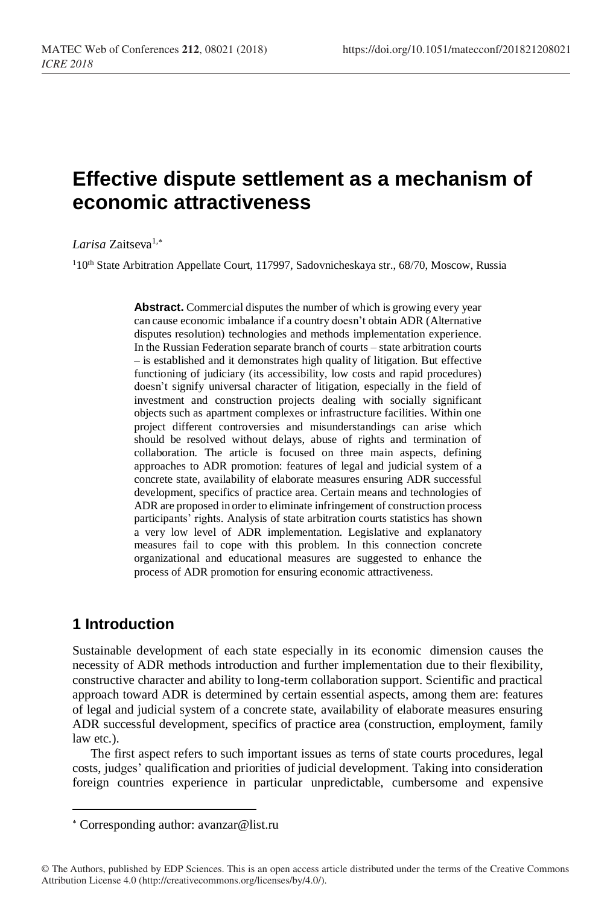# **Effective dispute settlement as a mechanism of economic attractiveness**

*Larisa* Zaitseva1,

<sup>1</sup>10<sup>th</sup> State Arbitration Appellate Court, 117997, Sadovnicheskaya str., 68/70, Moscow, Russia

**Abstract.** Commercial disputes the number of which is growing every year can cause economic imbalance if a country doesn't obtain ADR (Alternative disputes resolution) technologies and methods implementation experience. In the Russian Federation separate branch of courts – state arbitration courts – is established and it demonstrates high quality of litigation. But effective functioning of judiciary (its accessibility, low costs and rapid procedures) doesn't signify universal character of litigation, especially in the field of investment and construction projects dealing with socially significant objects such as apartment complexes or infrastructure facilities. Within one project different controversies and misunderstandings can arise which should be resolved without delays, abuse of rights and termination of collaboration. The article is focused on three main aspects, defining approaches to ADR promotion: features of legal and judicial system of a concrete state, availability of elaborate measures ensuring ADR successful development, specifics of practice area. Certain means and technologies of ADR are proposed in order to eliminate infringement of construction process participants' rights. Analysis of state arbitration courts statistics has shown a very low level of ADR implementation. Legislative and explanatory measures fail to cope with this problem. In this connection concrete organizational and educational measures are suggested to enhance the process of ADR promotion for ensuring economic attractiveness.

## **1 Introduction**

l

Sustainable development of each state especially in its economic dimension causes the necessity of ADR methods introduction and further implementation due to their flexibility, constructive character and ability to long-term collaboration support. Scientific and practical approach toward ADR is determined by certain essential aspects, among them are: features of legal and judicial system of a concrete state, availability of elaborate measures ensuring ADR successful development, specifics of practice area (construction, employment, family law etc.).

The first aspect refers to such important issues as terns of state courts procedures, legal costs, judges' qualification and priorities of judicial development. Taking into consideration foreign countries experience in particular unpredictable, cumbersome and expensive

Corresponding author: [avanzar@list.ru](mailto:avanzar@list.ru)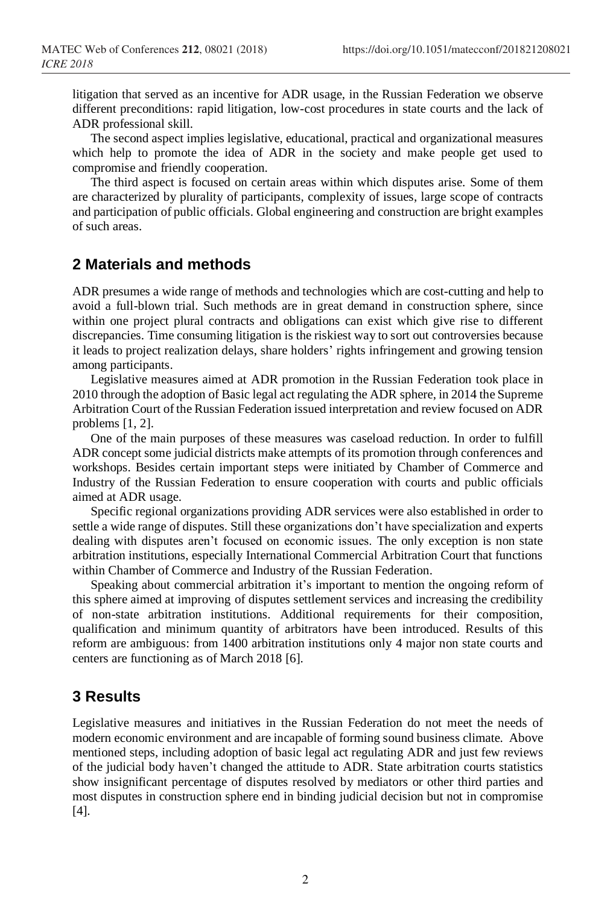litigation that served as an incentive for ADR usage, in the Russian Federation we observe different preconditions: rapid litigation, low-cost procedures in state courts and the lack of ADR professional skill.

The second aspect implies legislative, educational, practical and organizational measures which help to promote the idea of ADR in the society and make people get used to compromise and friendly cooperation.

The third aspect is focused on certain areas within which disputes arise. Some of them are characterized by plurality of participants, complexity of issues, large scope of contracts and participation of public officials. Global engineering and construction are bright examples of such areas.

#### **2 Materials and methods**

ADR presumes a wide range of methods and technologies which are cost-cutting and help to avoid a full-blown trial. Such methods are in great demand in construction sphere, since within one project plural contracts and obligations can exist which give rise to different discrepancies. Time consuming litigation is the riskiest way to sort out controversies because it leads to project realization delays, share holders' rights infringement and growing tension among participants.

Legislative measures aimed at ADR promotion in the Russian Federation took place in 2010 through the adoption of Basic legal act regulating the ADR sphere, in 2014 the Supreme Arbitration Court of the Russian Federation issued interpretation and review focused on ADR problems [1, 2].

One of the main purposes of these measures was caseload reduction. In order to fulfill ADR concept some judicial districts make attempts of its promotion through conferences and workshops. Besides certain important steps were initiated by Chamber of Commerce and Industry of the Russian Federation to ensure cooperation with courts and public officials aimed at ADR usage.

Specific regional organizations providing ADR services were also established in order to settle a wide range of disputes. Still these organizations don't have specialization and experts dealing with disputes aren't focused on economic issues. The only exception is non state arbitration institutions, especially International Commercial Arbitration Court that functions within Chamber of Commerce and Industry of the Russian Federation.

Speaking about commercial arbitration it's important to mention the ongoing reform of this sphere aimed at improving of disputes settlement services and increasing the credibility of non-state arbitration institutions. Additional requirements for their composition, qualification and minimum quantity of arbitrators have been introduced. Results of this reform are ambiguous: from 1400 arbitration institutions only 4 major non state courts and centers are functioning as of March 2018 [6].

#### **3 Results**

Legislative measures and initiatives in the Russian Federation do not meet the needs of modern economic environment and are incapable of forming sound business climate. Above mentioned steps, including adoption of basic legal act regulating ADR and just few reviews of the judicial body haven't changed the attitude to ADR. State arbitration courts statistics show insignificant percentage of disputes resolved by mediators or other third parties and most disputes in construction sphere end in binding judicial decision but not in compromise [4].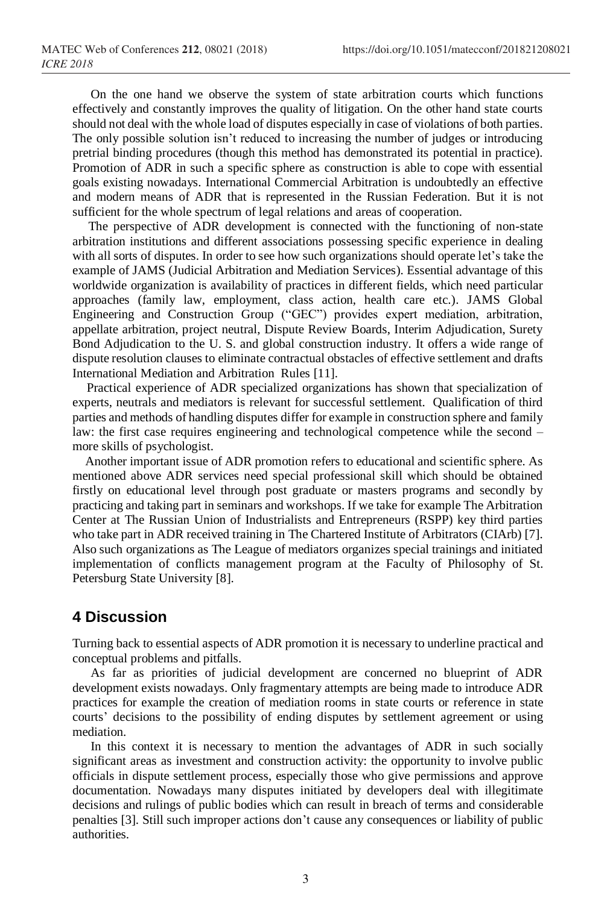On the one hand we observe the system of state arbitration courts which functions effectively and constantly improves the quality of litigation. On the other hand state courts should not deal with the whole load of disputes especially in case of violations of both parties. The only possible solution isn't reduced to increasing the number of judges or introducing pretrial binding procedures (though this method has demonstrated its potential in practice). Promotion of ADR in such a specific sphere as construction is able to cope with essential goals existing nowadays. International Commercial Arbitration is undoubtedly an effective and modern means of ADR that is represented in the Russian Federation. But it is not sufficient for the whole spectrum of legal relations and areas of cooperation.

 The perspective of ADR development is connected with the functioning of non-state arbitration institutions and different associations possessing specific experience in dealing with all sorts of disputes. In order to see how such organizations should operate let's take the example of JAMS (Judicial Arbitration and Mediation Services). Essential advantage of this worldwide organization is availability of practices in different fields, which need particular approaches (family law, employment, class action, health care etc.). JAMS Global Engineering and Construction Group ("GEC") provides expert mediation, arbitration, appellate arbitration, project neutral, Dispute Review Boards, Interim Adjudication, Surety Bond Adjudication to the U. S. and global construction industry. It offers [a wide range of](https://www.jamsadr.com/rules-construction/)  [dispute resolution clauses](https://www.jamsadr.com/rules-construction/) to eliminate contractual obstacles of effective settlement and drafts International Mediation and Arbitration Rules [11].

 Practical experience of ADR specialized organizations has shown that specialization of experts, neutrals and mediators is relevant for successful settlement. Qualification of third parties and methods of handling disputes differ for example in construction sphere and family law: the first case requires engineering and technological competence while the second – more skills of psychologist.

Another important issue of ADR promotion refers to educational and scientific sphere. As mentioned above ADR services need special professional skill which should be obtained firstly on educational level through post graduate or masters programs and secondly by practicing and taking part in seminars and workshops. If we take for example The Arbitration Center at The Russian Union of Industrialists and Entrepreneurs (RSPP) key third parties who take part in ADR received training in The Chartered Institute of Arbitrators (CIArb) [7]. Also such organizations as The League of mediators organizes special trainings and initiated implementation of conflicts management program at the Faculty of Philosophy of [St.](https://www.google.ru/url?sa=t&rct=j&q=&esrc=s&source=web&cd=1&cad=rja&uact=8&ved=0ahUKEwixlKfS9YLaAhVByqYKHZoqC6MQFggsMAA&url=http%3A%2F%2Fphilosophy.spbu.ru%2Fen&usg=AOvVaw3ilW8BFgA8m3Bxp0OmE5hA)  [Petersburg State University](https://www.google.ru/url?sa=t&rct=j&q=&esrc=s&source=web&cd=1&cad=rja&uact=8&ved=0ahUKEwixlKfS9YLaAhVByqYKHZoqC6MQFggsMAA&url=http%3A%2F%2Fphilosophy.spbu.ru%2Fen&usg=AOvVaw3ilW8BFgA8m3Bxp0OmE5hA) [8].

#### **4 Discussion**

Turning back to essential aspects of ADR promotion it is necessary to underline practical and conceptual problems and pitfalls.

As far as priorities of judicial development are concerned no blueprint of ADR development exists nowadays. Only fragmentary attempts are being made to introduce ADR practices for example the creation of mediation rooms in state courts or reference in state courts' decisions to the possibility of ending disputes by settlement agreement or using mediation.

In this context it is necessary to mention the advantages of ADR in such socially significant areas as investment and construction activity: the opportunity to involve public officials in dispute settlement process, especially those who give permissions and approve documentation. Nowadays many disputes initiated by developers deal with illegitimate decisions and rulings of public bodies which can result in breach of terms and considerable penalties [3]. Still such improper actions don't cause any consequences or liability of public authorities.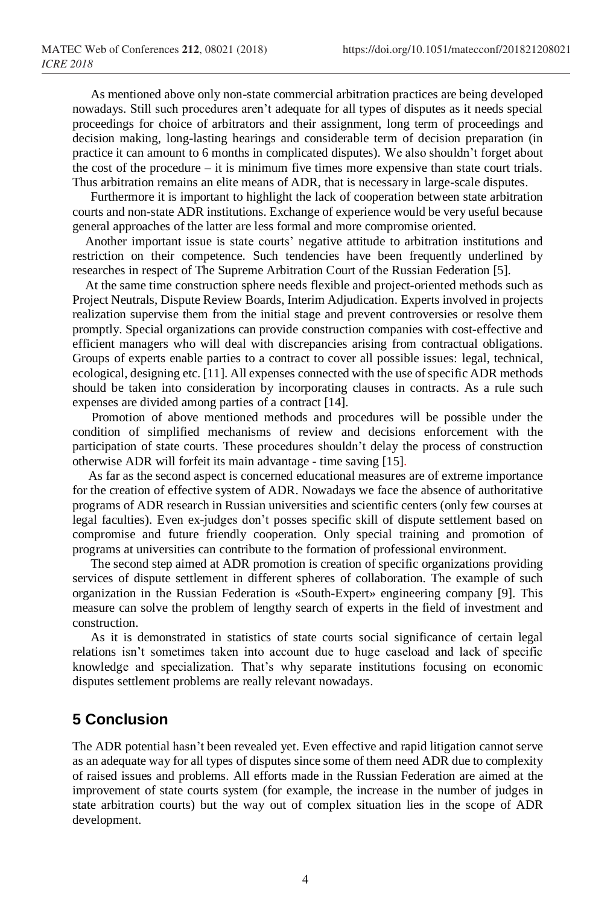As mentioned above only non-state commercial arbitration practices are being developed nowadays. Still such procedures aren't adequate for all types of disputes as it needs special proceedings for choice of arbitrators and their assignment, long term of proceedings and decision making, long-lasting hearings and considerable term of decision preparation (in practice it can amount to 6 months in complicated disputes). We also shouldn't forget about the cost of the procedure – it is minimum five times more expensive than state court trials. Thus arbitration remains an elite means of ADR, that is necessary in large-scale disputes.

Furthermore it is important to highlight the lack of cooperation between state arbitration courts and non-state ADR institutions. Exchange of experience would be very useful because general approaches of the latter are less formal and more compromise oriented.

 Another important issue is state courts' negative attitude to arbitration institutions and restriction on their competence. Such tendencies have been frequently underlined by researches in respect of The Supreme Arbitration Court of the Russian Federation [5].

 At the same time construction sphere needs flexible and project-oriented methods such as Project Neutrals, Dispute Review Boards, Interim Adjudication. Experts involved in projects realization supervise them from the initial stage and prevent controversies or resolve them promptly. Special organizations can provide construction companies with cost-effective and efficient managers who will deal with discrepancies arising from contractual obligations. Groups of experts enable parties to a contract to cover all possible issues: legal, technical, ecological, designing etc. [11]. All expenses connected with the use of specific ADR methods should be taken into consideration by incorporating clauses in contracts. As a rule such expenses are divided among parties of a contract [14].

 Promotion of above mentioned methods and procedures will be possible under the condition of simplified mechanisms of review and decisions enforcement with the participation of state courts. These procedures shouldn't delay the process of construction otherwise ADR will forfeit its main advantage - time saving [15].

 As far as the second aspect is concerned educational measures are of extreme importance for the creation of effective system of ADR. Nowadays we face the absence of authoritative programs of ADR research in Russian universities and scientific centers (only few courses at legal faculties). Even ex-judges don't posses specific skill of dispute settlement based on compromise and future friendly cooperation. Only special training and promotion of programs at universities can contribute to the formation of professional environment.

The second step aimed at ADR promotion is creation of specific organizations providing services of dispute settlement in different spheres of collaboration. The example of such organization in the Russian Federation is «South-Expert» engineering company [9]. This measure can solve the problem of lengthy search of experts in the field of investment and construction.

As it is demonstrated in statistics of state courts social significance of certain legal relations isn't sometimes taken into account due to huge caseload and lack of specific knowledge and specialization. That's why separate institutions focusing on economic disputes settlement problems are really relevant nowadays.

### **5 Conclusion**

The ADR potential hasn't been revealed yet. Even effective and rapid litigation cannot serve as an adequate way for all types of disputes since some of them need ADR due to complexity of raised issues and problems. All efforts made in the Russian Federation are aimed at the improvement of state courts system (for example, the increase in the number of judges in state arbitration courts) but the way out of complex situation lies in the scope of ADR development.